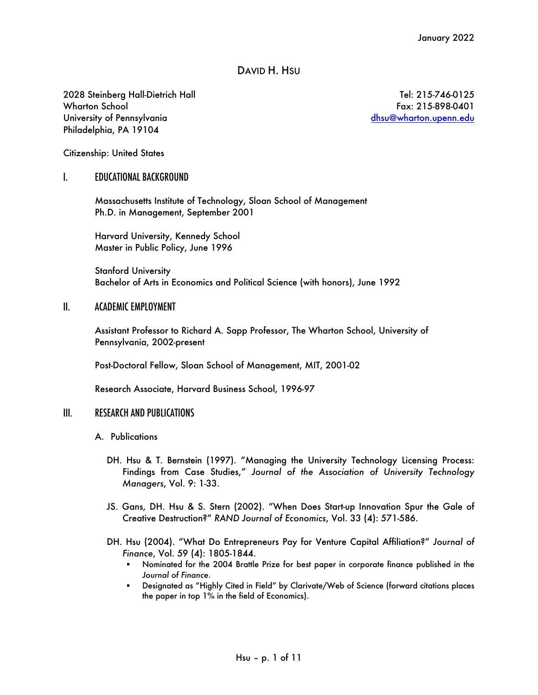# DAVID H. HSU

2028 Steinberg Hall-Dietrich Hall Wharton School University of Pennsylvania Philadelphia, PA 19104

Tel: 215-746-0125 Fax: 215-898-0401 dhsu@wharton.upenn.edu

Citizenship: United States

#### I. EDUCATIONAL BACKGROUND

Massachusetts Institute of Technology, Sloan School of Management Ph.D. in Management, September 2001

Harvard University, Kennedy School Master in Public Policy, June 1996

Stanford University Bachelor of Arts in Economics and Political Science (with honors), June 1992

#### II. ACADEMIC EMPLOYMENT

Assistant Professor to Richard A. Sapp Professor, The Wharton School, University of Pennsylvania, 2002-present

Post-Doctoral Fellow, Sloan School of Management, MIT, 2001-02

Research Associate, Harvard Business School, 1996-97

#### III. RESEARCH AND PUBLICATIONS

- A. Publications
	- DH. Hsu & T. Bernstein (1997). "Managing the University Technology Licensing Process: Findings from Case Studies," *Journal of the Association of University Technology Managers*, Vol. 9: 1-33.
	- JS. Gans, DH. Hsu & S. Stern (2002). "When Does Start-up Innovation Spur the Gale of Creative Destruction?" *RAND Journal of Economics*, Vol. 33 (4): 571-586.
	- DH. Hsu (2004). "What Do Entrepreneurs Pay for Venture Capital Affiliation?" *Journal of Finance*, Vol. 59 (4): 1805-1844.
		- § Nominated for the 2004 Brattle Prize for best paper in corporate finance published in the *Journal of Finance*.
		- § Designated as "Highly Cited in Field" by Clarivate/Web of Science (forward citations places the paper in top 1% in the field of Economics).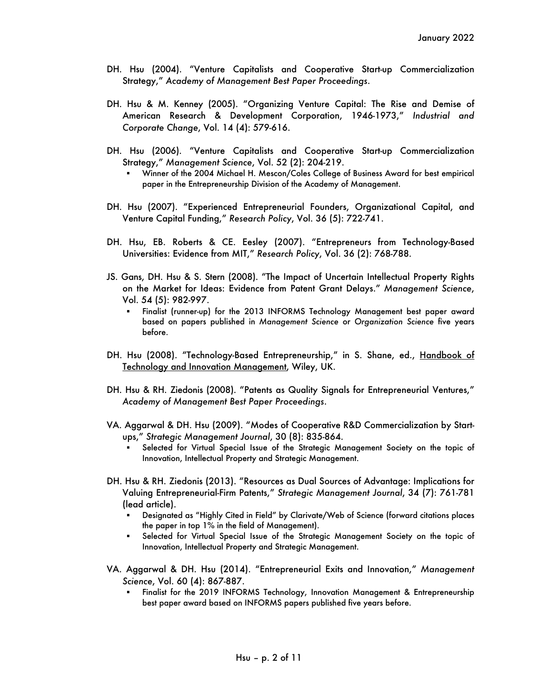- DH. Hsu (2004). "Venture Capitalists and Cooperative Start-up Commercialization Strategy," *Academy of Management Best Paper Proceedings*.
- DH. Hsu & M. Kenney (2005). "Organizing Venture Capital: The Rise and Demise of American Research & Development Corporation, 1946-1973," *Industrial and Corporate Change*, Vol. 14 (4): 579-616.
- DH. Hsu (2006). "Venture Capitalists and Cooperative Start-up Commercialization Strategy," *Management Science*, Vol. 52 (2): 204-219.
	- § Winner of the 2004 Michael H. Mescon/Coles College of Business Award for best empirical paper in the Entrepreneurship Division of the Academy of Management.
- DH. Hsu (2007). "Experienced Entrepreneurial Founders, Organizational Capital, and Venture Capital Funding," *Research Policy*, Vol. 36 (5): 722-741.
- DH. Hsu, EB. Roberts & CE. Eesley (2007). "Entrepreneurs from Technology-Based Universities: Evidence from MIT," *Research Policy*, Vol. 36 (2): 768-788.
- JS. Gans, DH. Hsu & S. Stern (2008). "The Impact of Uncertain Intellectual Property Rights on the Market for Ideas: Evidence from Patent Grant Delays." *Management Science*, Vol. 54 (5): 982-997.
	- § Finalist (runner-up) for the 2013 INFORMS Technology Management best paper award based on papers published in *Management Science* or *Organization Science* five years before.
- DH. Hsu (2008). "Technology-Based Entrepreneurship," in S. Shane, ed., Handbook of Technology and Innovation Management, Wiley, UK.
- DH. Hsu & RH. Ziedonis (2008). "Patents as Quality Signals for Entrepreneurial Ventures," *Academy of Management Best Paper Proceedings*.
- VA. Aggarwal & DH. Hsu (2009). "Modes of Cooperative R&D Commercialization by Startups," *Strategic Management Journal*, 30 (8): 835-864.
	- § Selected for Virtual Special Issue of the Strategic Management Society on the topic of Innovation, Intellectual Property and Strategic Management.
- DH. Hsu & RH. Ziedonis (2013). "Resources as Dual Sources of Advantage: Implications for Valuing Entrepreneurial-Firm Patents," *Strategic Management Journal*, 34 (7): 761-781 (lead article).
	- § Designated as "Highly Cited in Field" by Clarivate/Web of Science (forward citations places the paper in top 1% in the field of Management).
	- § Selected for Virtual Special Issue of the Strategic Management Society on the topic of Innovation, Intellectual Property and Strategic Management.
- VA. Aggarwal & DH. Hsu (2014). "Entrepreneurial Exits and Innovation," *Management Science*, Vol. 60 (4): 867-887.
	- § Finalist for the 2019 INFORMS Technology, Innovation Management & Entrepreneurship best paper award based on INFORMS papers published five years before.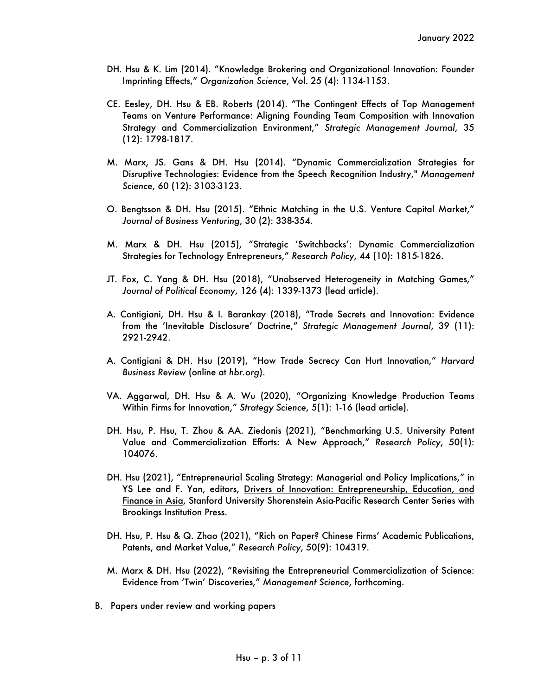- DH. Hsu & K. Lim (2014). "Knowledge Brokering and Organizational Innovation: Founder Imprinting Effects," *Organization Science*, Vol. 25 (4): 1134-1153.
- CE. Eesley, DH. Hsu & EB. Roberts (2014). "The Contingent Effects of Top Management Teams on Venture Performance: Aligning Founding Team Composition with Innovation Strategy and Commercialization Environment," *Strategic Management Journal*, 35 (12): 1798-1817.
- M. Marx, JS. Gans & DH. Hsu (2014). "Dynamic Commercialization Strategies for Disruptive Technologies: Evidence from the Speech Recognition Industry," *Management Science*, 60 (12): 3103-3123.
- O. Bengtsson & DH. Hsu (2015). "Ethnic Matching in the U.S. Venture Capital Market," *Journal of Business Venturing*, 30 (2): 338-354.
- M. Marx & DH. Hsu (2015), "Strategic 'Switchbacks': Dynamic Commercialization Strategies for Technology Entrepreneurs," *Research Policy*, 44 (10): 1815-1826.
- JT. Fox, C. Yang & DH. Hsu (2018), "Unobserved Heterogeneity in Matching Games," *Journal of Political Economy*, 126 (4): 1339-1373 (lead article).
- A. Contigiani, DH. Hsu & I. Barankay (2018), "Trade Secrets and Innovation: Evidence from the 'Inevitable Disclosure' Doctrine," *Strategic Management Journal*, 39 (11): 2921-2942.
- A. Contigiani & DH. Hsu (2019), "How Trade Secrecy Can Hurt Innovation," *Harvard Business Review* (online at *hbr.org*).
- VA. Aggarwal, DH. Hsu & A. Wu (2020), "Organizing Knowledge Production Teams Within Firms for Innovation," *Strategy Science*, 5(1): 1-16 (lead article).
- DH. Hsu, P. Hsu, T. Zhou & AA. Ziedonis (2021), "Benchmarking U.S. University Patent Value and Commercialization Efforts: A New Approach," *Research Policy*, 50(1): 104076.
- DH. Hsu (2021), "Entrepreneurial Scaling Strategy: Managerial and Policy Implications," in YS Lee and F. Yan, editors, Drivers of Innovation: Entrepreneurship, Education, and Finance in Asia, Stanford University Shorenstein Asia-Pacific Research Center Series with Brookings Institution Press.
- DH. Hsu, P. Hsu & Q. Zhao (2021), "Rich on Paper? Chinese Firms' Academic Publications, Patents, and Market Value," *Research Policy*, 50(9): 104319*.*
- M. Marx & DH. Hsu (2022), "Revisiting the Entrepreneurial Commercialization of Science: Evidence from 'Twin' Discoveries," *Management Science*, forthcoming.
- B. Papers under review and working papers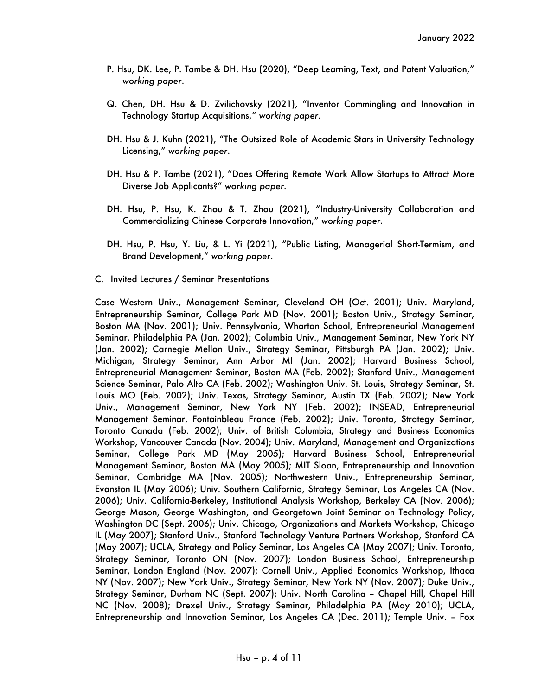- P. Hsu, DK. Lee, P. Tambe & DH. Hsu (2020), "Deep Learning, Text, and Patent Valuation," *working paper*.
- Q. Chen, DH. Hsu & D. Zvilichovsky (2021), "Inventor Commingling and Innovation in Technology Startup Acquisitions," *working paper*.
- DH. Hsu & J. Kuhn (2021), "The Outsized Role of Academic Stars in University Technology Licensing," *working paper*.
- DH. Hsu & P. Tambe (2021), "Does Offering Remote Work Allow Startups to Attract More Diverse Job Applicants?" *working paper.*
- DH. Hsu, P. Hsu, K. Zhou & T. Zhou (2021), "Industry-University Collaboration and Commercializing Chinese Corporate Innovation," *working paper.*
- DH. Hsu, P. Hsu, Y. Liu, & L. Yi (2021), "Public Listing, Managerial Short-Termism, and Brand Development," *working paper*.
- C. Invited Lectures / Seminar Presentations

Case Western Univ., Management Seminar, Cleveland OH (Oct. 2001); Univ. Maryland, Entrepreneurship Seminar, College Park MD (Nov. 2001); Boston Univ., Strategy Seminar, Boston MA (Nov. 2001); Univ. Pennsylvania, Wharton School, Entrepreneurial Management Seminar, Philadelphia PA (Jan. 2002); Columbia Univ., Management Seminar, New York NY (Jan. 2002); Carnegie Mellon Univ., Strategy Seminar, Pittsburgh PA (Jan. 2002); Univ. Michigan, Strategy Seminar, Ann Arbor MI (Jan. 2002); Harvard Business School, Entrepreneurial Management Seminar, Boston MA (Feb. 2002); Stanford Univ., Management Science Seminar, Palo Alto CA (Feb. 2002); Washington Univ. St. Louis, Strategy Seminar, St. Louis MO (Feb. 2002); Univ. Texas, Strategy Seminar, Austin TX (Feb. 2002); New York Univ., Management Seminar, New York NY (Feb. 2002); INSEAD, Entrepreneurial Management Seminar, Fontainbleau France (Feb. 2002); Univ. Toronto, Strategy Seminar, Toronto Canada (Feb. 2002); Univ. of British Columbia, Strategy and Business Economics Workshop, Vancouver Canada (Nov. 2004); Univ. Maryland, Management and Organizations Seminar, College Park MD (May 2005); Harvard Business School, Entrepreneurial Management Seminar, Boston MA (May 2005); MIT Sloan, Entrepreneurship and Innovation Seminar, Cambridge MA (Nov. 2005); Northwestern Univ., Entrepreneurship Seminar, Evanston IL (May 2006); Univ. Southern California, Strategy Seminar, Los Angeles CA (Nov. 2006); Univ. California-Berkeley, Institutional Analysis Workshop, Berkeley CA (Nov. 2006); George Mason, George Washington, and Georgetown Joint Seminar on Technology Policy, Washington DC (Sept. 2006); Univ. Chicago, Organizations and Markets Workshop, Chicago IL (May 2007); Stanford Univ., Stanford Technology Venture Partners Workshop, Stanford CA (May 2007); UCLA, Strategy and Policy Seminar, Los Angeles CA (May 2007); Univ. Toronto, Strategy Seminar, Toronto ON (Nov. 2007); London Business School, Entrepreneurship Seminar, London England (Nov. 2007); Cornell Univ., Applied Economics Workshop, Ithaca NY (Nov. 2007); New York Univ., Strategy Seminar, New York NY (Nov. 2007); Duke Univ., Strategy Seminar, Durham NC (Sept. 2007); Univ. North Carolina – Chapel Hill, Chapel Hill NC (Nov. 2008); Drexel Univ., Strategy Seminar, Philadelphia PA (May 2010); UCLA, Entrepreneurship and Innovation Seminar, Los Angeles CA (Dec. 2011); Temple Univ. – Fox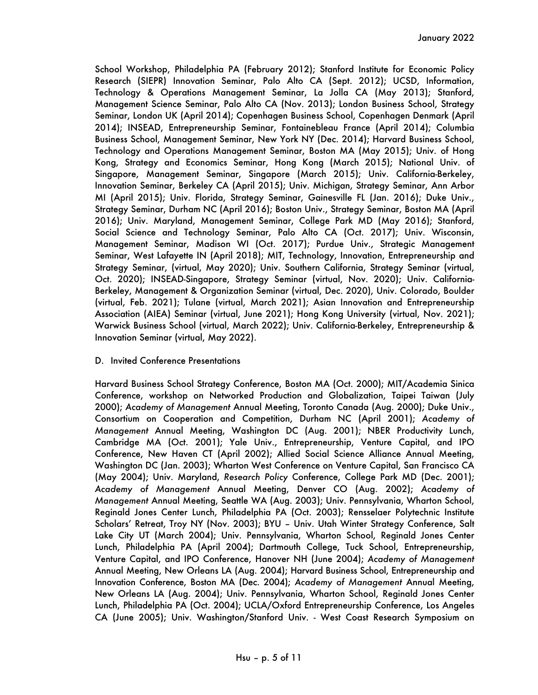School Workshop, Philadelphia PA (February 2012); Stanford Institute for Economic Policy Research (SIEPR) Innovation Seminar, Palo Alto CA (Sept. 2012); UCSD, Information, Technology & Operations Management Seminar, La Jolla CA (May 2013); Stanford, Management Science Seminar, Palo Alto CA (Nov. 2013); London Business School, Strategy Seminar, London UK (April 2014); Copenhagen Business School, Copenhagen Denmark (April 2014); INSEAD, Entrepreneurship Seminar, Fontainebleau France (April 2014); Columbia Business School, Management Seminar, New York NY (Dec. 2014); Harvard Business School, Technology and Operations Management Seminar, Boston MA (May 2015); Univ. of Hong Kong, Strategy and Economics Seminar, Hong Kong (March 2015); National Univ. of Singapore, Management Seminar, Singapore (March 2015); Univ. California-Berkeley, Innovation Seminar, Berkeley CA (April 2015); Univ. Michigan, Strategy Seminar, Ann Arbor MI (April 2015); Univ. Florida, Strategy Seminar, Gainesville FL (Jan. 2016); Duke Univ., Strategy Seminar, Durham NC (April 2016); Boston Univ., Strategy Seminar, Boston MA (April 2016); Univ. Maryland, Management Seminar, College Park MD (May 2016); Stanford, Social Science and Technology Seminar, Palo Alto CA (Oct. 2017); Univ. Wisconsin, Management Seminar, Madison WI (Oct. 2017); Purdue Univ., Strategic Management Seminar, West Lafayette IN (April 2018); MIT, Technology, Innovation, Entrepreneurship and Strategy Seminar, (virtual, May 2020); Univ. Southern California, Strategy Seminar (virtual, Oct. 2020); INSEAD-Singapore, Strategy Seminar (virtual, Nov. 2020); Univ. California-Berkeley, Management & Organization Seminar (virtual, Dec. 2020), Univ. Colorado, Boulder (virtual, Feb. 2021); Tulane (virtual, March 2021); Asian Innovation and Entrepreneurship Association (AIEA) Seminar (virtual, June 2021); Hong Kong University (virtual, Nov. 2021); Warwick Business School (virtual, March 2022); Univ. California-Berkeley, Entrepreneurship & Innovation Seminar (virtual, May 2022).

# D. Invited Conference Presentations

Harvard Business School Strategy Conference, Boston MA (Oct. 2000); MIT/Academia Sinica Conference, workshop on Networked Production and Globalization, Taipei Taiwan (July 2000); *Academy of Management* Annual Meeting, Toronto Canada (Aug. 2000); Duke Univ., Consortium on Cooperation and Competition, Durham NC (April 2001); *Academy of Management* Annual Meeting, Washington DC (Aug. 2001); NBER Productivity Lunch, Cambridge MA (Oct. 2001); Yale Univ., Entrepreneurship, Venture Capital, and IPO Conference, New Haven CT (April 2002); Allied Social Science Alliance Annual Meeting, Washington DC (Jan. 2003); Wharton West Conference on Venture Capital, San Francisco CA (May 2004); Univ. Maryland, *Research Policy* Conference, College Park MD (Dec. 2001); *Academy of Management* Annual Meeting, Denver CO (Aug. 2002); *Academy of Management* Annual Meeting, Seattle WA (Aug. 2003); Univ. Pennsylvania, Wharton School, Reginald Jones Center Lunch, Philadelphia PA (Oct. 2003); Rensselaer Polytechnic Institute Scholars' Retreat, Troy NY (Nov. 2003); BYU – Univ. Utah Winter Strategy Conference, Salt Lake City UT (March 2004); Univ. Pennsylvania, Wharton School, Reginald Jones Center Lunch, Philadelphia PA (April 2004); Dartmouth College, Tuck School, Entrepreneurship, Venture Capital, and IPO Conference, Hanover NH (June 2004); *Academy of Management* Annual Meeting, New Orleans LA (Aug. 2004); Harvard Business School, Entrepreneurship and Innovation Conference, Boston MA (Dec. 2004); *Academy of Management* Annual Meeting, New Orleans LA (Aug. 2004); Univ. Pennsylvania, Wharton School, Reginald Jones Center Lunch, Philadelphia PA (Oct. 2004); UCLA/Oxford Entrepreneurship Conference, Los Angeles CA (June 2005); Univ. Washington/Stanford Univ. - West Coast Research Symposium on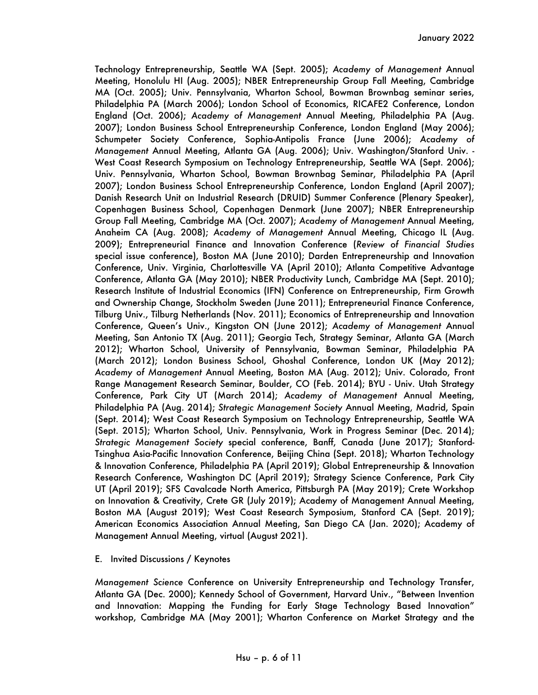Technology Entrepreneurship, Seattle WA (Sept. 2005); *Academy of Management* Annual Meeting, Honolulu HI (Aug. 2005); NBER Entrepreneurship Group Fall Meeting, Cambridge MA (Oct. 2005); Univ. Pennsylvania, Wharton School, Bowman Brownbag seminar series, Philadelphia PA (March 2006); London School of Economics, RICAFE2 Conference, London England (Oct. 2006); *Academy of Management* Annual Meeting, Philadelphia PA (Aug. 2007); London Business School Entrepreneurship Conference, London England (May 2006); Schumpeter Society Conference, Sophia-Antipolis France (June 2006); *Academy of Management* Annual Meeting, Atlanta GA (Aug. 2006); Univ. Washington/Stanford Univ. - West Coast Research Symposium on Technology Entrepreneurship, Seattle WA (Sept. 2006); Univ. Pennsylvania, Wharton School, Bowman Brownbag Seminar, Philadelphia PA (April 2007); London Business School Entrepreneurship Conference, London England (April 2007); Danish Research Unit on Industrial Research (DRUID) Summer Conference (Plenary Speaker), Copenhagen Business School, Copenhagen Denmark (June 2007); NBER Entrepreneurship Group Fall Meeting, Cambridge MA (Oct. 2007); *Academy of Management* Annual Meeting, Anaheim CA (Aug. 2008); *Academy of Management* Annual Meeting, Chicago IL (Aug. 2009); Entrepreneurial Finance and Innovation Conference (*Review of Financial Studies* special issue conference), Boston MA (June 2010); Darden Entrepreneurship and Innovation Conference, Univ. Virginia, Charlottesville VA (April 2010); Atlanta Competitive Advantage Conference, Atlanta GA (May 2010); NBER Productivity Lunch, Cambridge MA (Sept. 2010); Research Institute of Industrial Economics (IFN) Conference on Entrepreneurship, Firm Growth and Ownership Change, Stockholm Sweden (June 2011); Entrepreneurial Finance Conference, Tilburg Univ., Tilburg Netherlands (Nov. 2011); Economics of Entrepreneurship and Innovation Conference, Queen's Univ., Kingston ON (June 2012); *Academy of Management* Annual Meeting, San Antonio TX (Aug. 2011); Georgia Tech, Strategy Seminar, Atlanta GA (March 2012); Wharton School, University of Pennsylvania, Bowman Seminar, Philadelphia PA (March 2012); London Business School, Ghoshal Conference, London UK (May 2012); *Academy of Management* Annual Meeting, Boston MA (Aug. 2012); Univ. Colorado, Front Range Management Research Seminar, Boulder, CO (Feb. 2014); BYU - Univ. Utah Strategy Conference, Park City UT (March 2014); *Academy of Management* Annual Meeting, Philadelphia PA (Aug. 2014); *Strategic Management Society* Annual Meeting, Madrid, Spain (Sept. 2014); West Coast Research Symposium on Technology Entrepreneurship, Seattle WA (Sept. 2015); Wharton School, Univ. Pennsylvania, Work in Progress Seminar (Dec. 2014); *Strategic Management Society* special conference, Banff, Canada (June 2017); Stanford-Tsinghua Asia-Pacific Innovation Conference, Beijing China (Sept. 2018); Wharton Technology & Innovation Conference, Philadelphia PA (April 2019); Global Entrepreneurship & Innovation Research Conference, Washington DC (April 2019); Strategy Science Conference, Park City UT (April 2019); SFS Cavalcade North America, Pittsburgh PA (May 2019); Crete Workshop on Innovation & Creativity, Crete GR (July 2019); Academy of Management Annual Meeting, Boston MA (August 2019); West Coast Research Symposium, Stanford CA (Sept. 2019); American Economics Association Annual Meeting, San Diego CA (Jan. 2020); Academy of Management Annual Meeting, virtual (August 2021).

# E. Invited Discussions / Keynotes

*Management Science* Conference on University Entrepreneurship and Technology Transfer, Atlanta GA (Dec. 2000); Kennedy School of Government, Harvard Univ., "Between Invention and Innovation: Mapping the Funding for Early Stage Technology Based Innovation" workshop, Cambridge MA (May 2001); Wharton Conference on Market Strategy and the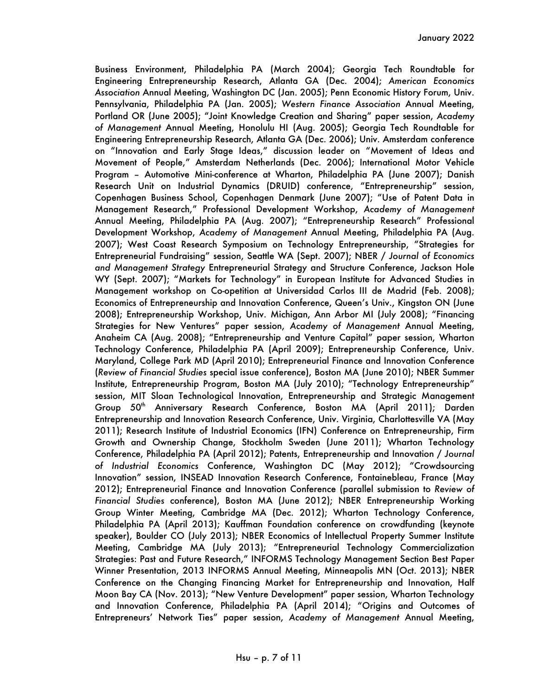Business Environment, Philadelphia PA (March 2004); Georgia Tech Roundtable for Engineering Entrepreneurship Research, Atlanta GA (Dec. 2004); *American Economics Association* Annual Meeting, Washington DC (Jan. 2005); Penn Economic History Forum, Univ. Pennsylvania, Philadelphia PA (Jan. 2005); *Western Finance Association* Annual Meeting, Portland OR (June 2005); "Joint Knowledge Creation and Sharing" paper session, *Academy of Management* Annual Meeting, Honolulu HI (Aug. 2005); Georgia Tech Roundtable for Engineering Entrepreneurship Research, Atlanta GA (Dec. 2006); Univ. Amsterdam conference on "Innovation and Early Stage Ideas," discussion leader on "Movement of Ideas and Movement of People," Amsterdam Netherlands (Dec. 2006); International Motor Vehicle Program – Automotive Mini-conference at Wharton, Philadelphia PA (June 2007); Danish Research Unit on Industrial Dynamics (DRUID) conference, "Entrepreneurship" session, Copenhagen Business School, Copenhagen Denmark (June 2007); "Use of Patent Data in Management Research," Professional Development Workshop, *Academy of Management* Annual Meeting, Philadelphia PA (Aug. 2007); "Entrepreneurship Research" Professional Development Workshop, *Academy of Management* Annual Meeting, Philadelphia PA (Aug. 2007); West Coast Research Symposium on Technology Entrepreneurship, "Strategies for Entrepreneurial Fundraising" session, Seattle WA (Sept. 2007); NBER / *Journal of Economics and Management Strategy* Entrepreneurial Strategy and Structure Conference, Jackson Hole WY (Sept. 2007); "Markets for Technology" in European Institute for Advanced Studies in Management workshop on Co-opetition at Universidad Carlos III de Madrid (Feb. 2008); Economics of Entrepreneurship and Innovation Conference, Queen's Univ., Kingston ON (June 2008); Entrepreneurship Workshop, Univ. Michigan, Ann Arbor MI (July 2008); "Financing Strategies for New Ventures" paper session, *Academy of Management* Annual Meeting, Anaheim CA (Aug. 2008); "Entrepreneurship and Venture Capital" paper session, Wharton Technology Conference, Philadelphia PA (April 2009); Entrepreneurship Conference, Univ. Maryland, College Park MD (April 2010); Entrepreneurial Finance and Innovation Conference (*Review of Financial Studies* special issue conference), Boston MA (June 2010); NBER Summer Institute, Entrepreneurship Program, Boston MA (July 2010); "Technology Entrepreneurship" session, MIT Sloan Technological Innovation, Entrepreneurship and Strategic Management Group 50<sup>th</sup> Anniversary Research Conference, Boston MA (April 2011); Darden Entrepreneurship and Innovation Research Conference, Univ. Virginia, Charlottesville VA (May 2011); Research Institute of Industrial Economics (IFN) Conference on Entrepreneurship, Firm Growth and Ownership Change, Stockholm Sweden (June 2011); Wharton Technology Conference, Philadelphia PA (April 2012); Patents, Entrepreneurship and Innovation / *Journal of Industrial Economics* Conference, Washington DC (May 2012); "Crowdsourcing Innovation" session, INSEAD Innovation Research Conference, Fontainebleau, France (May 2012); Entrepreneurial Finance and Innovation Conference (parallel submission to *Review of Financial Studies* conference), Boston MA (June 2012); NBER Entrepreneurship Working Group Winter Meeting, Cambridge MA (Dec. 2012); Wharton Technology Conference, Philadelphia PA (April 2013); Kauffman Foundation conference on crowdfunding (keynote speaker), Boulder CO (July 2013); NBER Economics of Intellectual Property Summer Institute Meeting, Cambridge MA (July 2013); "Entrepreneurial Technology Commercialization Strategies: Past and Future Research," INFORMS Technology Management Section Best Paper Winner Presentation, 2013 INFORMS Annual Meeting, Minneapolis MN (Oct. 2013); NBER Conference on the Changing Financing Market for Entrepreneurship and Innovation, Half Moon Bay CA (Nov. 2013); "New Venture Development" paper session, Wharton Technology and Innovation Conference, Philadelphia PA (April 2014); "Origins and Outcomes of Entrepreneurs' Network Ties" paper session, *Academy of Management* Annual Meeting,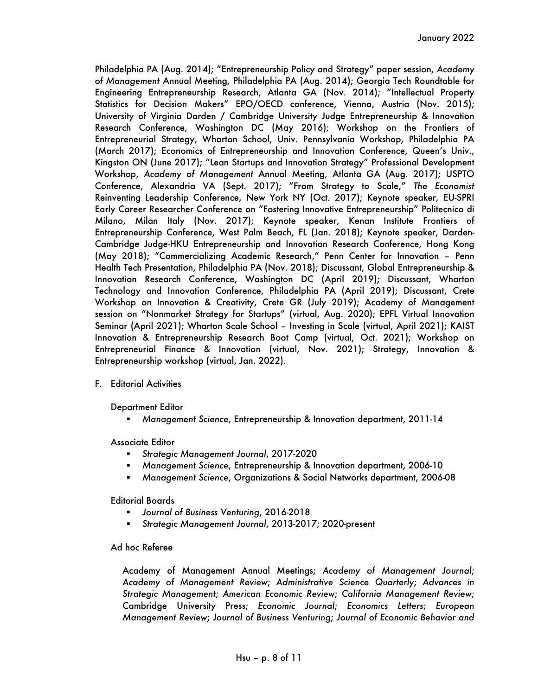Philadelphia PA (Aug. 2014); "Entrepreneurship Policy and Strategy" paper session, *Academy of Management* Annual Meeting, Philadelphia PA (Aug. 2014); Georgia Tech Roundtable for Engineering Entrepreneurship Research, Atlanta GA (Nov. 2014); "Intellectual Property Statistics for Decision Makers" EPO/OECD conference, Vienna, Austria (Nov. 2015); University of Virginia Darden / Cambridge University Judge Entrepreneurship & Innovation Research Conference, Washington DC (May 2016); Workshop on the Frontiers of Entrepreneurial Strategy, Wharton School, Univ. Pennsylvania Workshop, Philadelphia PA (March 2017); Economics of Entrepreneurship and Innovation Conference, Queen's Univ., Kingston ON (June 2017); "Lean Startups and Innovation Strategy" Professional Development Workshop, *Academy of Management* Annual Meeting, Atlanta GA (Aug. 2017); USPTO Conference, Alexandria VA (Sept. 2017); "From Strategy to Scale," *The Economist* Reinventing Leadership Conference, New York NY (Oct. 2017); Keynote speaker, EU-SPRI Early Career Researcher Conference on "Fostering Innovative Entrepreneurship" Politecnico di Milano, Milan Italy (Nov. 2017); Keynote speaker, Kenan Institute Frontiers of Entrepreneurship Conference, West Palm Beach, FL (Jan. 2018); Keynote speaker, Darden-Cambridge Judge-HKU Entrepreneurship and Innovation Research Conference, Hong Kong (May 2018); "Commercializing Academic Research," Penn Center for Innovation – Penn Health Tech Presentation, Philadelphia PA (Nov. 2018); Discussant, Global Entrepreneurship & Innovation Research Conference, Washington DC (April 2019); Discussant, Wharton Technology and Innovation Conference, Philadelphia PA (April 2019); Discussant, Crete Workshop on Innovation & Creativity, Crete GR (July 2019); Academy of Management session on "Nonmarket Strategy for Startups" (virtual, Aug. 2020); EPFL Virtual Innovation Seminar (April 2021); Wharton Scale School – Investing in Scale (virtual, April 2021); KAIST Innovation & Entrepreneurship Research Boot Camp (virtual, Oct. 2021); Workshop on Entrepreneurial Finance & Innovation (virtual, Nov. 2021); Strategy, Innovation & Entrepreneurship workshop (virtual, Jan. 2022).

F. Editorial Activities

Department Editor

§ *Management Science*, Entrepreneurship & Innovation department, 2011-14

Associate Editor

- § *Strategic Management Journal*, 2017-2020
- § *Management Science*, Entrepreneurship & Innovation department, 2006-10
- § *Management Science*, Organizations & Social Networks department, 2006-08

Editorial Boards

- § *Journal of Business Venturing*, 2016-2018
- § *Strategic Management Journal*, 2013-2017; 2020-present

Ad hoc Referee

Academy of Management Annual Meetings; *Academy of Management Journal*; *Academy of Management Review*; *Administrative Science Quarterly*; *Advances in Strategic Management*; *American Economic Review*; *California Management Review*; Cambridge University Press; *Economic Journal*; *Economics Letters*; *European Management Review*; *Journal of Business Venturing*; *Journal of Economic Behavior and*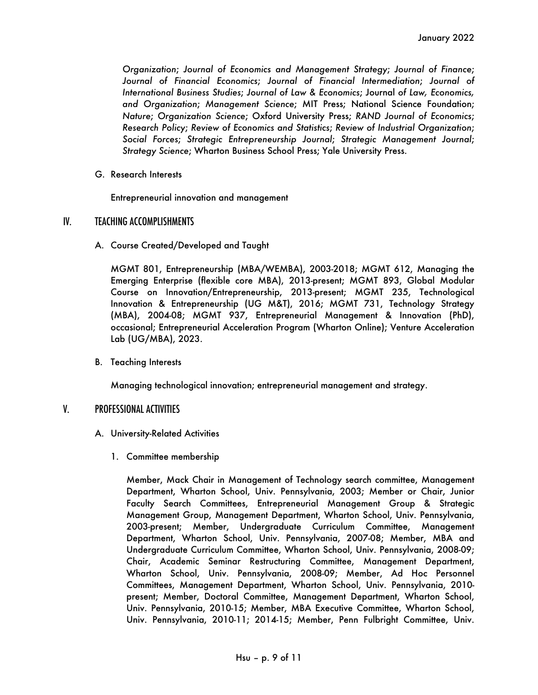*Organization*; *Journal of Economics and Management Strategy*; *Journal of Finance*; *Journal of Financial Economics*; *Journal of Financial Intermediation*; *Journal of International Business Studies*; *Journal of Law & Economics*; Journal *of Law, Economics, and Organization*; *Management Science*; MIT Press; National Science Foundation; *Nature*; *Organization Science*; Oxford University Press; *RAND Journal of Economics*; *Research Policy*; *Review of Economics and Statistics*; *Review of Industrial Organization*; *Social Forces*; *Strategic Entrepreneurship Journal*; *Strategic Management Journal*; *Strategy Science*; Wharton Business School Press; Yale University Press.

G. Research Interests

Entrepreneurial innovation and management

# IV. TEACHING ACCOMPLISHMENTS

A. Course Created/Developed and Taught

MGMT 801, Entrepreneurship (MBA/WEMBA), 2003-2018; MGMT 612, Managing the Emerging Enterprise (flexible core MBA), 2013-present; MGMT 893, Global Modular Course on Innovation/Entrepreneurship, 2013-present; MGMT 235, Technological Innovation & Entrepreneurship (UG M&T), 2016; MGMT 731, Technology Strategy (MBA), 2004-08; MGMT 937, Entrepreneurial Management & Innovation (PhD), occasional; Entrepreneurial Acceleration Program (Wharton Online); Venture Acceleration Lab (UG/MBA), 2023.

B. Teaching Interests

Managing technological innovation; entrepreneurial management and strategy.

# V. PROFESSIONAL ACTIVITIES

- A. University-Related Activities
	- 1. Committee membership

Member, Mack Chair in Management of Technology search committee, Management Department, Wharton School, Univ. Pennsylvania, 2003; Member or Chair, Junior Faculty Search Committees, Entrepreneurial Management Group & Strategic Management Group, Management Department, Wharton School, Univ. Pennsylvania, 2003-present; Member, Undergraduate Curriculum Committee, Management Department, Wharton School, Univ. Pennsylvania, 2007-08; Member, MBA and Undergraduate Curriculum Committee, Wharton School, Univ. Pennsylvania, 2008-09; Chair, Academic Seminar Restructuring Committee, Management Department, Wharton School, Univ. Pennsylvania, 2008-09; Member, Ad Hoc Personnel Committees, Management Department, Wharton School, Univ. Pennsylvania, 2010 present; Member, Doctoral Committee, Management Department, Wharton School, Univ. Pennsylvania, 2010-15; Member, MBA Executive Committee, Wharton School, Univ. Pennsylvania, 2010-11; 2014-15; Member, Penn Fulbright Committee, Univ.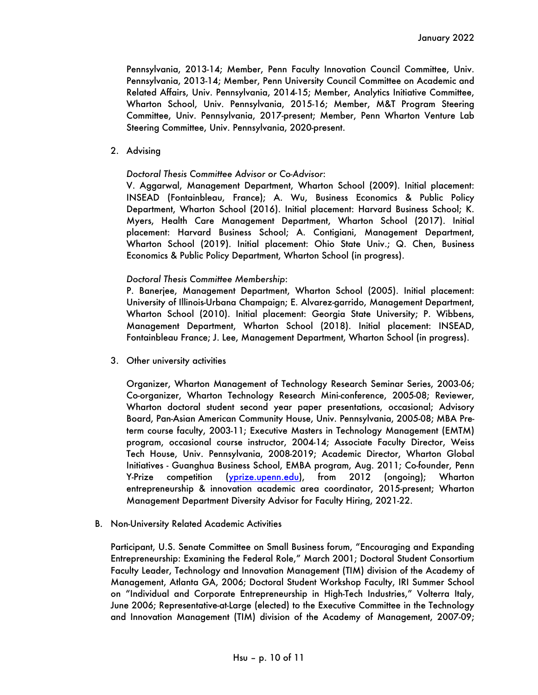Pennsylvania, 2013-14; Member, Penn Faculty Innovation Council Committee, Univ. Pennsylvania, 2013-14; Member, Penn University Council Committee on Academic and Related Affairs, Univ. Pennsylvania, 2014-15; Member, Analytics Initiative Committee, Wharton School, Univ. Pennsylvania, 2015-16; Member, M&T Program Steering Committee, Univ. Pennsylvania, 2017-present; Member, Penn Wharton Venture Lab Steering Committee, Univ. Pennsylvania, 2020-present.

2. Advising

#### *Doctoral Thesis Committee Advisor or Co-Advisor*:

V. Aggarwal, Management Department, Wharton School (2009). Initial placement: INSEAD (Fontainbleau, France); A. Wu, Business Economics & Public Policy Department, Wharton School (2016). Initial placement: Harvard Business School; K. Myers, Health Care Management Department, Wharton School (2017). Initial placement: Harvard Business School; A. Contigiani, Management Department, Wharton School (2019). Initial placement: Ohio State Univ.; Q. Chen, Business Economics & Public Policy Department, Wharton School (in progress).

#### *Doctoral Thesis Committee Membership*:

P. Banerjee, Management Department, Wharton School (2005). Initial placement: University of Illinois-Urbana Champaign; E. Alvarez-garrido, Management Department, Wharton School (2010). Initial placement: Georgia State University; P. Wibbens, Management Department, Wharton School (2018). Initial placement: INSEAD, Fontainbleau France; J. Lee, Management Department, Wharton School (in progress).

3. Other university activities

Organizer, Wharton Management of Technology Research Seminar Series, 2003-06; Co-organizer, Wharton Technology Research Mini-conference, 2005-08; Reviewer, Wharton doctoral student second year paper presentations, occasional; Advisory Board, Pan-Asian American Community House, Univ. Pennsylvania, 2005-08; MBA Preterm course faculty, 2003-11; Executive Masters in Technology Management (EMTM) program, occasional course instructor, 2004-14; Associate Faculty Director, Weiss Tech House, Univ. Pennsylvania, 2008-2019; Academic Director, Wharton Global Initiatives - Guanghua Business School, EMBA program, Aug. 2011; Co-founder, Penn Y-Prize competition (<u>yprize.upenn.edu</u>), from 2012 (ongoing); Wharton entrepreneurship & innovation academic area coordinator, 2015-present; Wharton Management Department Diversity Advisor for Faculty Hiring, 2021-22.

B. Non-University Related Academic Activities

Participant, U.S. Senate Committee on Small Business forum, "Encouraging and Expanding Entrepreneurship: Examining the Federal Role," March 2001; Doctoral Student Consortium Faculty Leader, Technology and Innovation Management (TIM) division of the Academy of Management, Atlanta GA, 2006; Doctoral Student Workshop Faculty, IRI Summer School on "Individual and Corporate Entrepreneurship in High-Tech Industries," Volterra Italy, June 2006; Representative-at-Large (elected) to the Executive Committee in the Technology and Innovation Management (TIM) division of the Academy of Management, 2007-09;